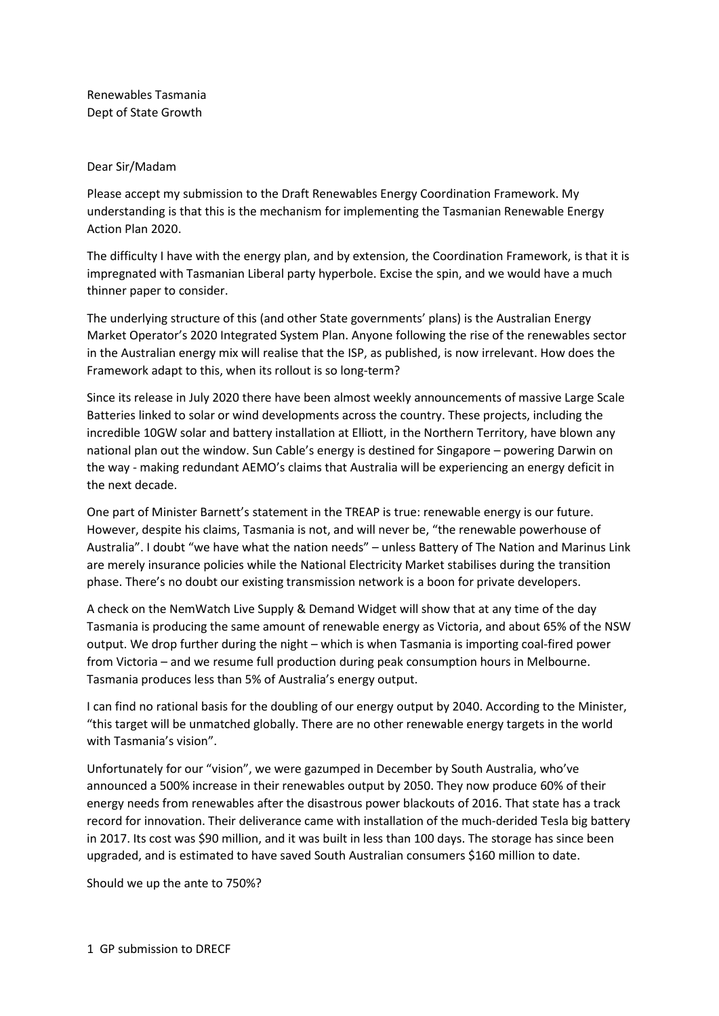Renewables Tasmania Dept of State Growth

## Dear Sir/Madam

Please accept my submission to the Draft Renewables Energy Coordination Framework. My understanding is that this is the mechanism for implementing the Tasmanian Renewable Energy Action Plan 2020.

The difficulty I have with the energy plan, and by extension, the Coordination Framework, is that it is impregnated with Tasmanian Liberal party hyperbole. Excise the spin, and we would have a much thinner paper to consider.

The underlying structure of this (and other State governments' plans) is the Australian Energy Market Operator's 2020 Integrated System Plan. Anyone following the rise of the renewables sector in the Australian energy mix will realise that the ISP, as published, is now irrelevant. How does the Framework adapt to this, when its rollout is so long-term?

Since its release in July 2020 there have been almost weekly announcements of massive Large Scale Batteries linked to solar or wind developments across the country. These projects, including the incredible 10GW solar and battery installation at Elliott, in the Northern Territory, have blown any national plan out the window. Sun Cable's energy is destined for Singapore – powering Darwin on the way - making redundant AEMO's claims that Australia will be experiencing an energy deficit in the next decade.

One part of Minister Barnett's statement in the TREAP is true: renewable energy is our future. However, despite his claims, Tasmania is not, and will never be, "the renewable powerhouse of Australia". I doubt "we have what the nation needs" – unless Battery of The Nation and Marinus Link are merely insurance policies while the National Electricity Market stabilises during the transition phase. There's no doubt our existing transmission network is a boon for private developers.

A check on the NemWatch Live Supply & Demand Widget will show that at any time of the day Tasmania is producing the same amount of renewable energy as Victoria, and about 65% of the NSW output. We drop further during the night – which is when Tasmania is importing coal-fired power from Victoria – and we resume full production during peak consumption hours in Melbourne. Tasmania produces less than 5% of Australia's energy output.

I can find no rational basis for the doubling of our energy output by 2040. According to the Minister, "this target will be unmatched globally. There are no other renewable energy targets in the world with Tasmania's vision".

Unfortunately for our "vision", we were gazumped in December by South Australia, who've announced a 500% increase in their renewables output by 2050. They now produce 60% of their energy needs from renewables after the disastrous power blackouts of 2016. That state has a track record for innovation. Their deliverance came with installation of the much-derided Tesla big battery in 2017. Its cost was \$90 million, and it was built in less than 100 days. The storage has since been upgraded, and is estimated to have saved South Australian consumers \$160 million to date.

Should we up the ante to 750%?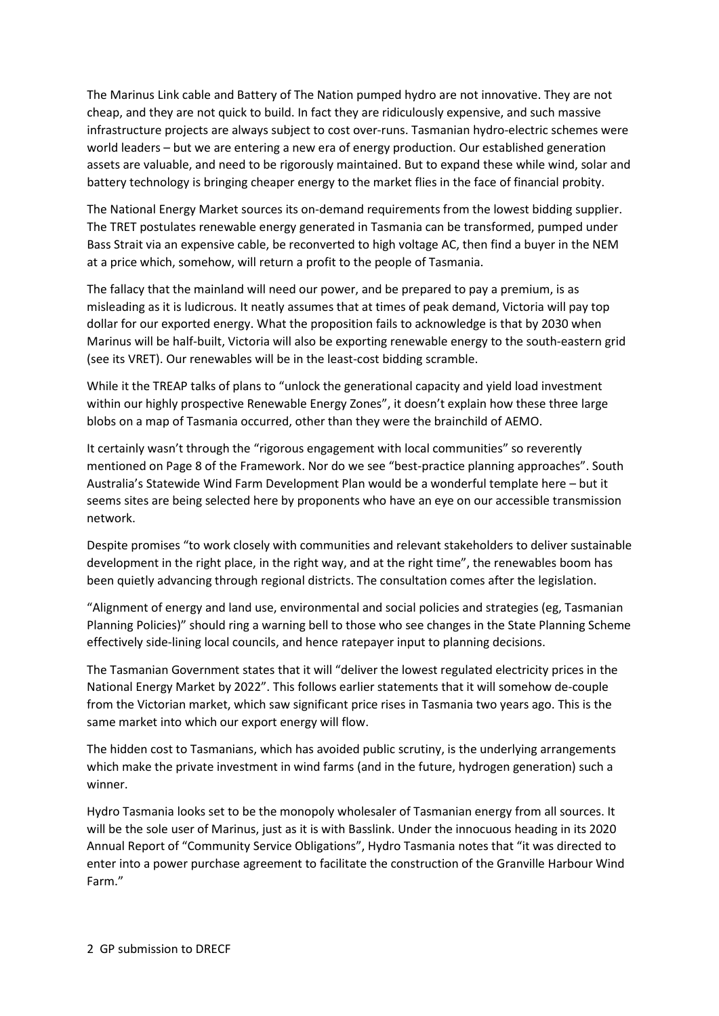The Marinus Link cable and Battery of The Nation pumped hydro are not innovative. They are not cheap, and they are not quick to build. In fact they are ridiculously expensive, and such massive infrastructure projects are always subject to cost over-runs. Tasmanian hydro-electric schemes were world leaders – but we are entering a new era of energy production. Our established generation assets are valuable, and need to be rigorously maintained. But to expand these while wind, solar and battery technology is bringing cheaper energy to the market flies in the face of financial probity.

The National Energy Market sources its on-demand requirements from the lowest bidding supplier. The TRET postulates renewable energy generated in Tasmania can be transformed, pumped under Bass Strait via an expensive cable, be reconverted to high voltage AC, then find a buyer in the NEM at a price which, somehow, will return a profit to the people of Tasmania.

The fallacy that the mainland will need our power, and be prepared to pay a premium, is as misleading as it is ludicrous. It neatly assumes that at times of peak demand, Victoria will pay top dollar for our exported energy. What the proposition fails to acknowledge is that by 2030 when Marinus will be half-built, Victoria will also be exporting renewable energy to the south-eastern grid (see its VRET). Our renewables will be in the least-cost bidding scramble.

While it the TREAP talks of plans to "unlock the generational capacity and yield load investment within our highly prospective Renewable Energy Zones", it doesn't explain how these three large blobs on a map of Tasmania occurred, other than they were the brainchild of AEMO.

It certainly wasn't through the "rigorous engagement with local communities" so reverently mentioned on Page 8 of the Framework. Nor do we see "best-practice planning approaches". South Australia's Statewide Wind Farm Development Plan would be a wonderful template here – but it seems sites are being selected here by proponents who have an eye on our accessible transmission network.

Despite promises "to work closely with communities and relevant stakeholders to deliver sustainable development in the right place, in the right way, and at the right time", the renewables boom has been quietly advancing through regional districts. The consultation comes after the legislation.

"Alignment of energy and land use, environmental and social policies and strategies (eg, Tasmanian Planning Policies)" should ring a warning bell to those who see changes in the State Planning Scheme effectively side-lining local councils, and hence ratepayer input to planning decisions.

The Tasmanian Government states that it will "deliver the lowest regulated electricity prices in the National Energy Market by 2022". This follows earlier statements that it will somehow de-couple from the Victorian market, which saw significant price rises in Tasmania two years ago. This is the same market into which our export energy will flow.

The hidden cost to Tasmanians, which has avoided public scrutiny, is the underlying arrangements which make the private investment in wind farms (and in the future, hydrogen generation) such a winner.

Hydro Tasmania looks set to be the monopoly wholesaler of Tasmanian energy from all sources. It will be the sole user of Marinus, just as it is with Basslink. Under the innocuous heading in its 2020 Annual Report of "Community Service Obligations", Hydro Tasmania notes that "it was directed to enter into a power purchase agreement to facilitate the construction of the Granville Harbour Wind Farm."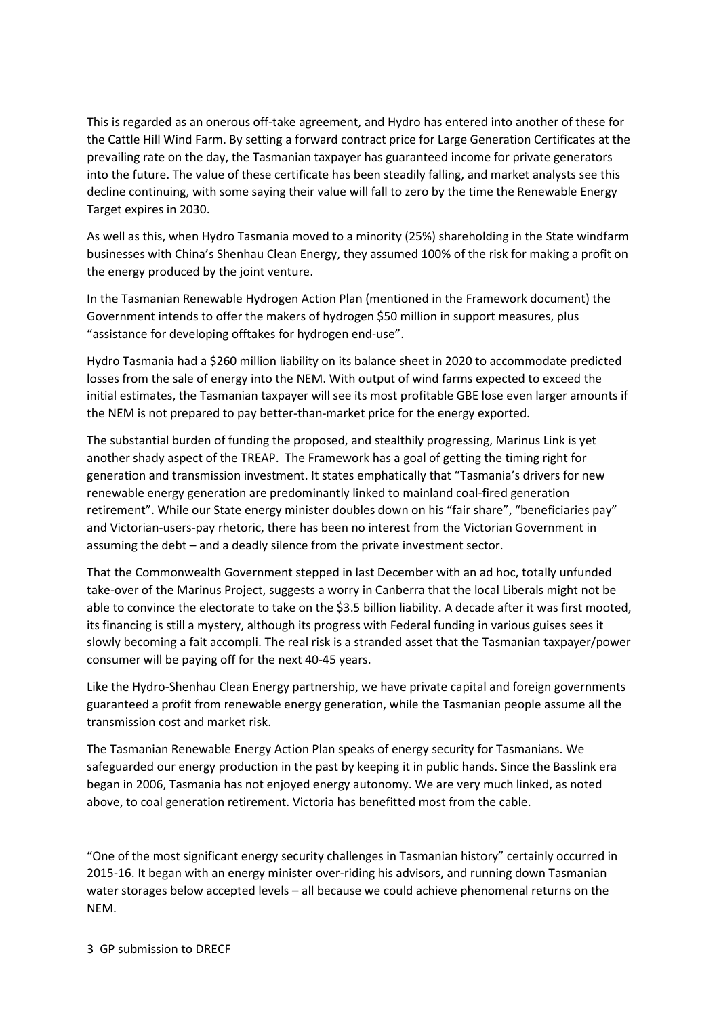This is regarded as an onerous off-take agreement, and Hydro has entered into another of these for the Cattle Hill Wind Farm. By setting a forward contract price for Large Generation Certificates at the prevailing rate on the day, the Tasmanian taxpayer has guaranteed income for private generators into the future. The value of these certificate has been steadily falling, and market analysts see this decline continuing, with some saying their value will fall to zero by the time the Renewable Energy Target expires in 2030.

As well as this, when Hydro Tasmania moved to a minority (25%) shareholding in the State windfarm businesses with China's Shenhau Clean Energy, they assumed 100% of the risk for making a profit on the energy produced by the joint venture.

In the Tasmanian Renewable Hydrogen Action Plan (mentioned in the Framework document) the Government intends to offer the makers of hydrogen \$50 million in support measures, plus "assistance for developing offtakes for hydrogen end-use".

Hydro Tasmania had a \$260 million liability on its balance sheet in 2020 to accommodate predicted losses from the sale of energy into the NEM. With output of wind farms expected to exceed the initial estimates, the Tasmanian taxpayer will see its most profitable GBE lose even larger amounts if the NEM is not prepared to pay better-than-market price for the energy exported.

The substantial burden of funding the proposed, and stealthily progressing, Marinus Link is yet another shady aspect of the TREAP. The Framework has a goal of getting the timing right for generation and transmission investment. It states emphatically that "Tasmania's drivers for new renewable energy generation are predominantly linked to mainland coal-fired generation retirement". While our State energy minister doubles down on his "fair share", "beneficiaries pay" and Victorian-users-pay rhetoric, there has been no interest from the Victorian Government in assuming the debt – and a deadly silence from the private investment sector.

That the Commonwealth Government stepped in last December with an ad hoc, totally unfunded take-over of the Marinus Project, suggests a worry in Canberra that the local Liberals might not be able to convince the electorate to take on the \$3.5 billion liability. A decade after it was first mooted, its financing is still a mystery, although its progress with Federal funding in various guises sees it slowly becoming a fait accompli. The real risk is a stranded asset that the Tasmanian taxpayer/power consumer will be paying off for the next 40-45 years.

Like the Hydro-Shenhau Clean Energy partnership, we have private capital and foreign governments guaranteed a profit from renewable energy generation, while the Tasmanian people assume all the transmission cost and market risk.

The Tasmanian Renewable Energy Action Plan speaks of energy security for Tasmanians. We safeguarded our energy production in the past by keeping it in public hands. Since the Basslink era began in 2006, Tasmania has not enjoyed energy autonomy. We are very much linked, as noted above, to coal generation retirement. Victoria has benefitted most from the cable.

"One of the most significant energy security challenges in Tasmanian history" certainly occurred in 2015-16. It began with an energy minister over-riding his advisors, and running down Tasmanian water storages below accepted levels – all because we could achieve phenomenal returns on the NEM.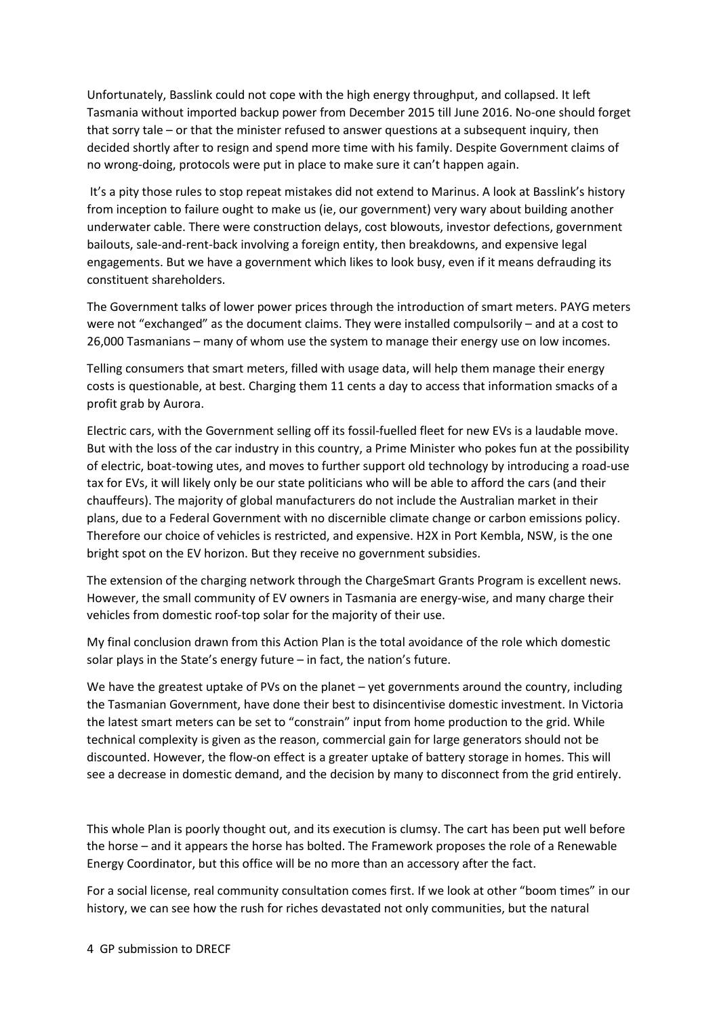Unfortunately, Basslink could not cope with the high energy throughput, and collapsed. It left Tasmania without imported backup power from December 2015 till June 2016. No-one should forget that sorry tale – or that the minister refused to answer questions at a subsequent inquiry, then decided shortly after to resign and spend more time with his family. Despite Government claims of no wrong-doing, protocols were put in place to make sure it can't happen again.

It's a pity those rules to stop repeat mistakes did not extend to Marinus. A look at Basslink's history from inception to failure ought to make us (ie, our government) very wary about building another underwater cable. There were construction delays, cost blowouts, investor defections, government bailouts, sale-and-rent-back involving a foreign entity, then breakdowns, and expensive legal engagements. But we have a government which likes to look busy, even if it means defrauding its constituent shareholders.

The Government talks of lower power prices through the introduction of smart meters. PAYG meters were not "exchanged" as the document claims. They were installed compulsorily – and at a cost to 26,000 Tasmanians – many of whom use the system to manage their energy use on low incomes.

Telling consumers that smart meters, filled with usage data, will help them manage their energy costs is questionable, at best. Charging them 11 cents a day to access that information smacks of a profit grab by Aurora.

Electric cars, with the Government selling off its fossil-fuelled fleet for new EVs is a laudable move. But with the loss of the car industry in this country, a Prime Minister who pokes fun at the possibility of electric, boat-towing utes, and moves to further support old technology by introducing a road-use tax for EVs, it will likely only be our state politicians who will be able to afford the cars (and their chauffeurs). The majority of global manufacturers do not include the Australian market in their plans, due to a Federal Government with no discernible climate change or carbon emissions policy. Therefore our choice of vehicles is restricted, and expensive. H2X in Port Kembla, NSW, is the one bright spot on the EV horizon. But they receive no government subsidies.

The extension of the charging network through the ChargeSmart Grants Program is excellent news. However, the small community of EV owners in Tasmania are energy-wise, and many charge their vehicles from domestic roof-top solar for the majority of their use.

My final conclusion drawn from this Action Plan is the total avoidance of the role which domestic solar plays in the State's energy future – in fact, the nation's future.

We have the greatest uptake of PVs on the planet – yet governments around the country, including the Tasmanian Government, have done their best to disincentivise domestic investment. In Victoria the latest smart meters can be set to "constrain" input from home production to the grid. While technical complexity is given as the reason, commercial gain for large generators should not be discounted. However, the flow-on effect is a greater uptake of battery storage in homes. This will see a decrease in domestic demand, and the decision by many to disconnect from the grid entirely.

This whole Plan is poorly thought out, and its execution is clumsy. The cart has been put well before the horse – and it appears the horse has bolted. The Framework proposes the role of a Renewable Energy Coordinator, but this office will be no more than an accessory after the fact.

For a social license, real community consultation comes first. If we look at other "boom times" in our history, we can see how the rush for riches devastated not only communities, but the natural